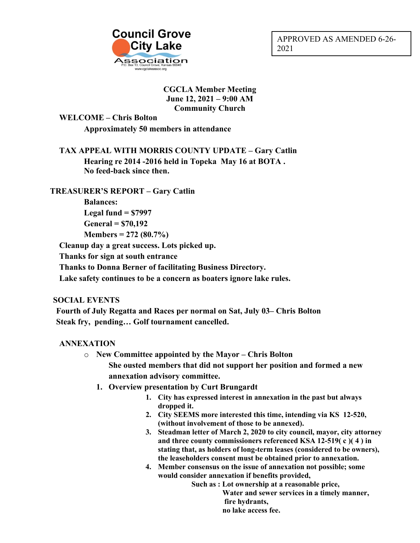

### **CGCLA Member Meeting June 12, 2021 – 9:00 AM Community Church**

**WELCOME – Chris Bolton Approximately 50 members in attendance**

**TAX APPEAL WITH MORRIS COUNTY UPDATE – Gary Catlin Hearing re 2014 -2016 held in Topeka May 16 at BOTA . No feed-back since then.**

# **TREASURER'S REPORT – Gary Catlin**

**Balances: Legal fund = \$7997 General = \$70,192 Members = 272 (80.7%)**

**Cleanup day a great success. Lots picked up.**

**Thanks for sign at south entrance**

**Thanks to Donna Berner of facilitating Business Directory.**

**Lake safety continues to be a concern as boaters ignore lake rules.**

## **SOCIAL EVENTS**

**Fourth of July Regatta and Races per normal on Sat, July 03– Chris Bolton Steak fry, pending… Golf tournament cancelled.**

## **ANNEXATION**

- o **New Committee appointed by the Mayor – Chris Bolton She ousted members that did not support her position and formed a new annexation advisory committee.**
	- **1. Overview presentation by Curt Brungardt**
		- **1. City has expressed interest in annexation in the past but always dropped it.**
		- **2. City SEEMS more interested this time, intending via KS 12-520, (without involvement of those to be annexed).**
		- **3. Steadman letter of March 2, 2020 to city council, mayor, city attorney and three county commissioners referenced KSA 12-519( c )( 4 ) in stating that, as holders of long-term leases (considered to be owners), the leaseholders consent must be obtained prior to annexation.**
		- **4. Member consensus on the issue of annexation not possible; some would consider annexation if benefits provided,**

 **Such as : Lot ownership at a reasonable price,**

 **Water and sewer services in a timely manner, fire hydrants, no lake access fee.**